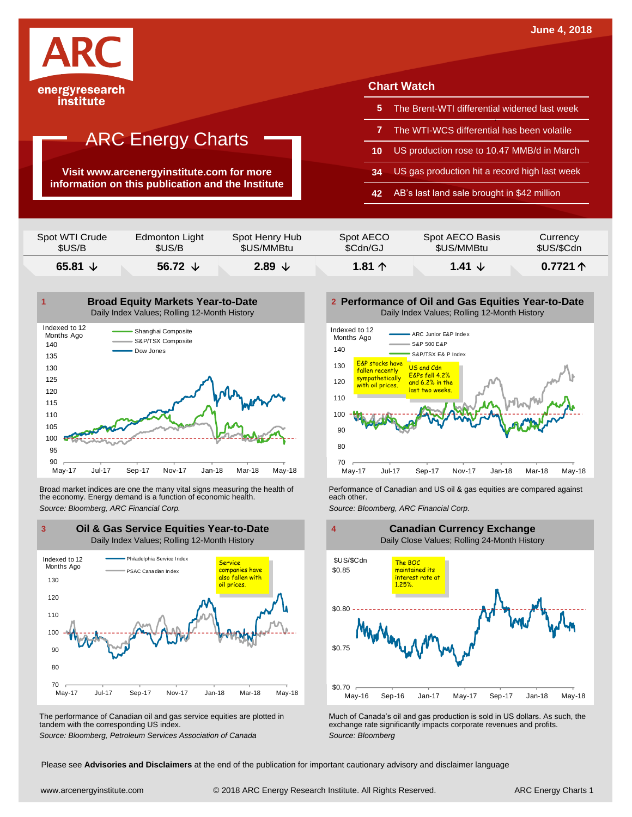

institute

## ARC Energy Charts

**Visit www.arcenergyinstitute.com for more information on this publication and the Institute**

### **Chart Watch**

- **5** The Brent-WTI differential widened last week
- **7** The WTI-WCS differential has been volatile
- **10** US production rose to 10.47 MMB/d in March
- **34** US gas production hit a record high last week
- **42** AB's last land sale brought in \$42 million

| \$US/B         | \$US/B         | \$US/MMBtu     | \$Cdn/GJ  | \$US/MMBtu      | \$US/\$Cdn |
|----------------|----------------|----------------|-----------|-----------------|------------|
| Spot WTI Crude | Edmonton Light | Spot Henry Hub | Spot AECO | Spot AECO Basis | Currency   |



Broad market indices are one the many vital signs measuring the health of **Performance of Canadian and US oil &** gas equities are compared against the economy. Energy demand is a function of economic health. **The exact oth** the economy. Energy demand is a function of economic health.



The performance of Canadian oil and gas service equities are plotted in tandem with the corresponding US index.

**Performance of Oil and Gas Equities Year-to-Date** Daily Index Values; Rolling 12-Month History





The performance of Canadian oil and gas service equities are plotted in Much of Canada's oil and gas production is sold in US dollars. As such, the exchange rate significantly impacts corporate revenues and profits.<br>Source

Please see **Advisories and Disclaimers** at the end of the publication for important cautionary advisory and disclaimer language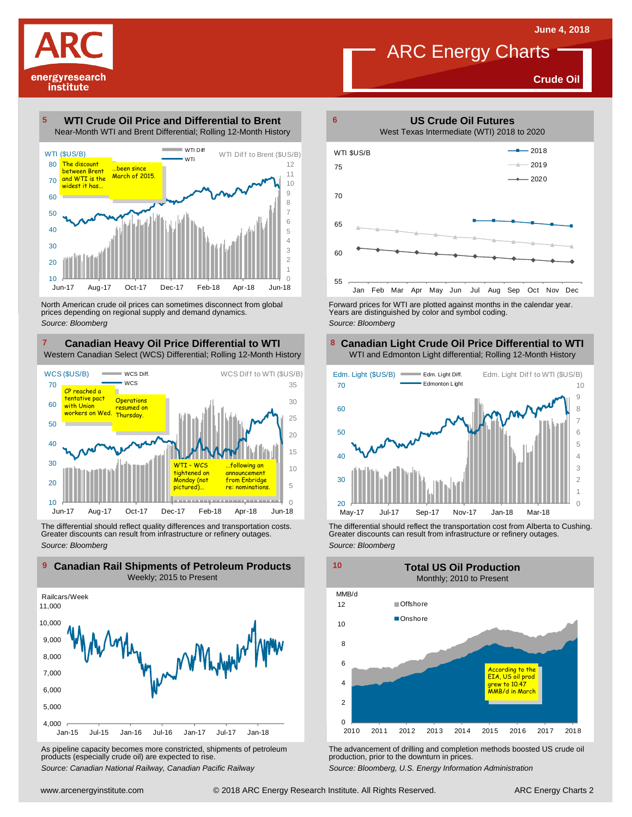**Crude Oil**



#### **WTI Crude Oil Price and Differential to Brent** Near-Month WTI and Brent Differential; Rolling 12-Month History **5**



North American crude oil prices can sometimes disconnect from global prices depending on regional supply and demand dynamics. *Source: Bloomberg*

#### **Canadian Heavy Oil Price Differential to WTI 7 8** Western Canadian Select (WCS) Differential; Rolling 12-Month History



The differential should reflect quality differences and transportation costs. Greater discounts can result from infrastructure or refinery outages. *Source: Bloomberg*



As pipeline capacity becomes more constricted, shipments of petroleum products (especially crude oil) are expected to rise. *Source: Canadian National Railway, Canadian Pacific Railway*



Forward prices for WTI are plotted against months in the calendar year. Years are distinguished by color and symbol coding. *Source: Bloomberg*

#### **Canadian Light Crude Oil Price Differential to WTI** WTI and Edmonton Light differential; Rolling 12-Month History



The differential should reflect the transportation cost from Alberta to Cushing. Greater discounts can result from infrastructure or refinery outages. *Source: Bloomberg*



The advancement of drilling and completion methods boosted US crude oil production, prior to the downturn in prices.

*Source: Bloomberg, U.S. Energy Information Administration*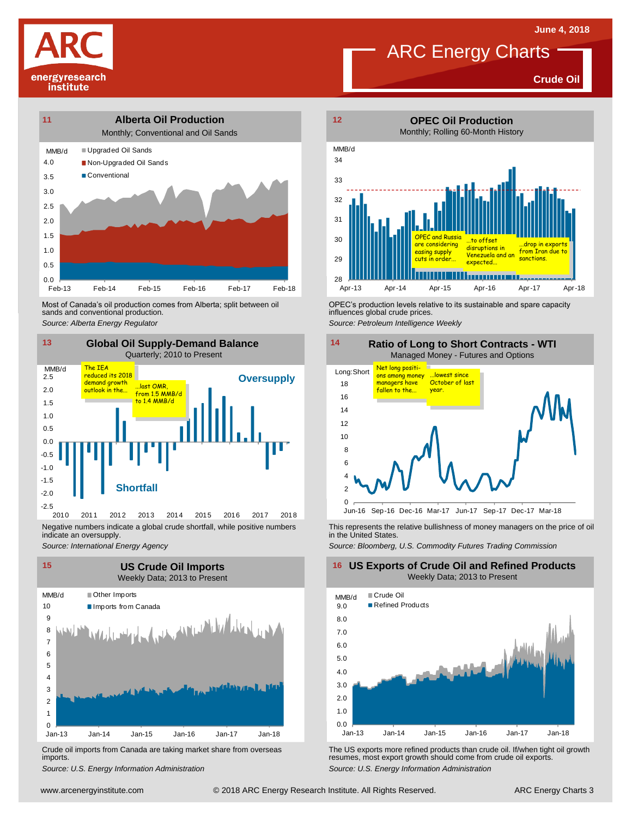# energyresearch institute



Most of Canada's oil production comes from Alberta; split between oil sands and conventional production. Most of Canada's oil production comes from Alberta; split between oil **Source:** OPEC's production levels relative to its sustainable and spare capacity<br>
Source: Alberta *Energy Regulator*<br>
Source: Petroleum Intelligence We



Negative numbers indicate a global crude shortfall, while positive numbers indicate an oversupply.

*Source: International Energy Agency*



Crude oil imports from Canada are taking market share from overseas imports.





influences global crude prices.

*Source: Petroleum Intelligence Weekly*



This represents the relative bullishness of money managers on the price of oil in the United States.

*Source: Bloomberg, U.S. Commodity Futures Trading Commission*

#### **16 US Exports of Crude Oil and Refined Products** Weekly Data; 2013 to Present



Um-13 Jan-14 Jan-15 Jan-16 Jan-17 Jan-18<br>
Crude oil imports from Canada are taking market share from overseas<br>
Source: U.S. Energy Information Administration<br>
Source: U.S. Energy Information Administration<br>
Www.arcenergyin Crude oil imports from Canada are taking market share from overseas<br>
imports.<br>
Source: U.S. Energy Information Administration<br>
Source: U.S. Energy Information Administration<br>
Source: U.S. Energy Information Administration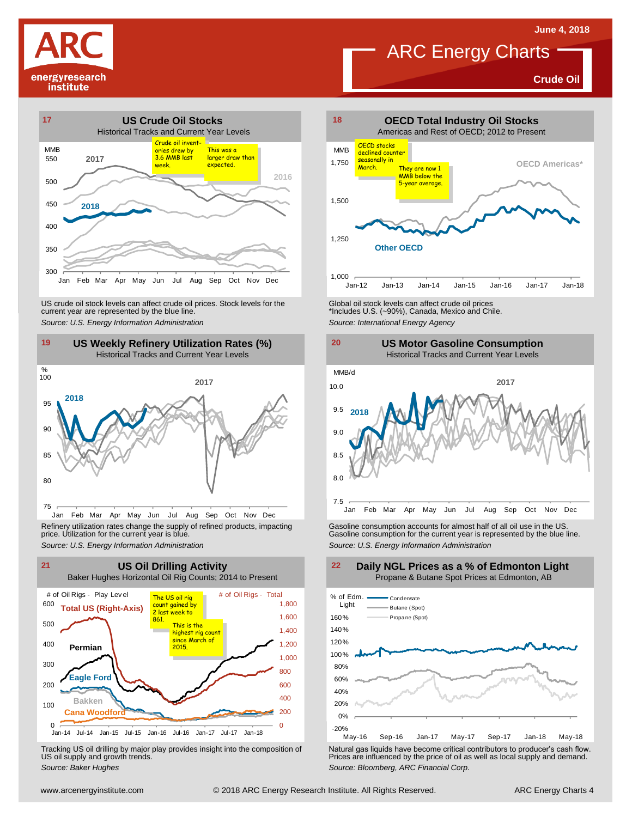**Crude Oil**







Jan Feb Mar Apr May Jun Jul Aug Sep Oct Nov Dec Refinery utilization rates change the supply of refined products, impacting price. Utilization for the current year is blue.



Tracking US oil drilling by major play provides insight into the composition of US oil supply and growth trends.



#### **US Motor Gasoline Consumption** Historical Tracks and Current Year Levels



Refinery utilization rates change the supply of refined products, impacting<br>
price. Utilization for the current year is blue.<br>
Source: U.S. Energy Information Administration<br>
Source: U.S. Energy Information Administration<br>



Tracking US oil drilling by major play provides insight into the composition of<br>US oil supply and growth trends.<br>Source: Baker Hughes<br>Source: Baker Hughes

**Daily NGL Prices as a % of Edmonton Light** Propane & Butane Spot Prices at Edmonton, AB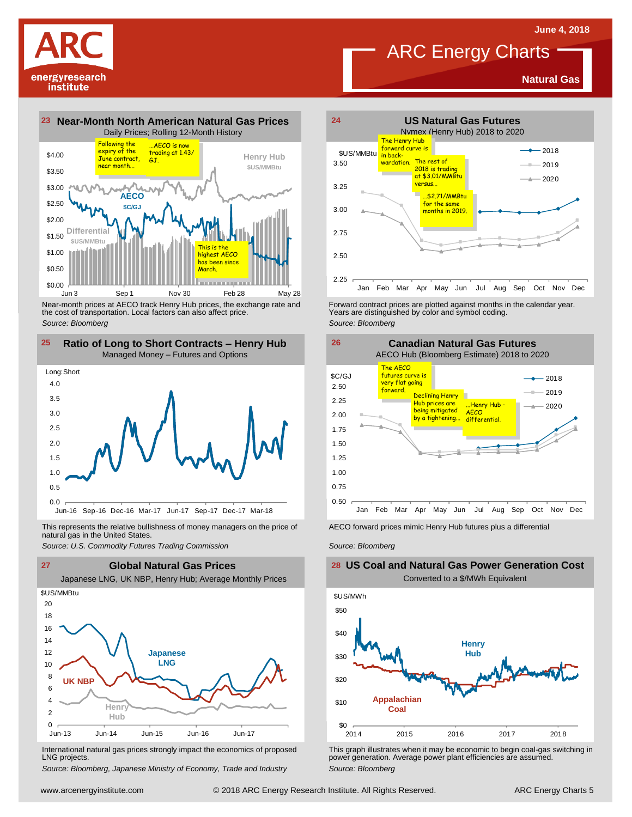**Natural Gas**



energyresearch institute

> Near-month prices at AECO track Henry Hub prices, the exchange rate and the cost of transportation. Local factors can also affect price. *Source: Bloomberg*



This represents the relative bullishness of money managers on the price of Facco forward prices mimic Henry Hub futures plus a differential<br>natural gas in the United States.<br>Source: U.S. Commodity Futures Trading Commissio natural gas in the United States.



International natural gas prices strongly impact the economics of proposed LNG projects.

*Source: Bloomberg, Japanese Ministry of Economy, Trade and Industry*



Forward contract prices are plotted against months in the calendar year.<br>Years are distinguished by color and symbol coding. *Source: Bloomberg*



*Source: Bloomberg*

### **US Coal and Natural Gas Power Generation Cost** Converted to a \$/MWh Equivalent



This graph illustrates when it may be economic to begin coal-gas switching in power generation. Average power plant efficiencies are assumed. *Source: Bloomberg*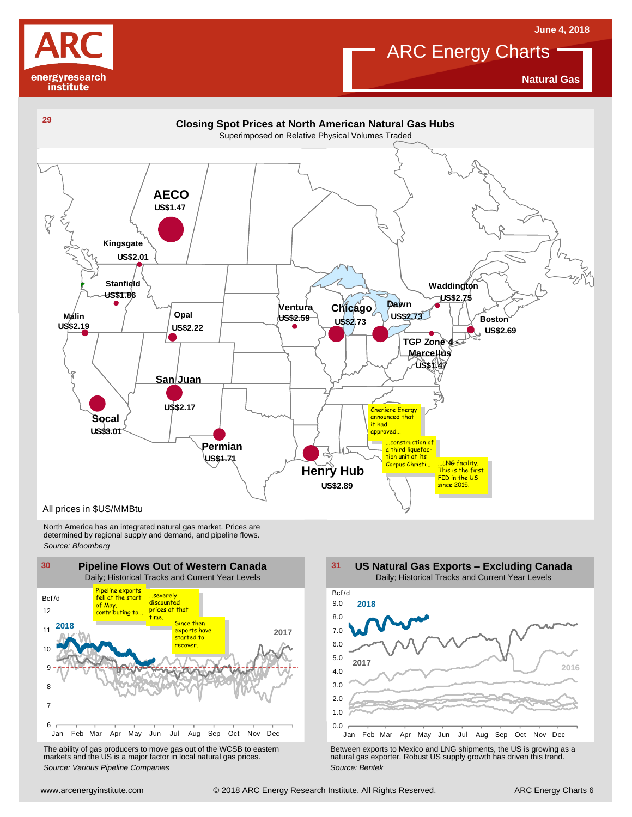



**Natural Gas**



North America has an integrated natural gas market. Prices are determined by regional supply and demand, and pipeline flows. *Source: Bloomberg*



The ability of gas producers to move gas out of the WCSB to eastern markets and the US is <sup>a</sup> major factor in local natural gas prices.



The ability of gas producers to move gas out of the WCSB to eastern<br>
markets and the US is a major factor in local natural gas prices.<br>
Source: Various Pipeline Companies<br>
Source: Bentek<br>
Source: Bentek<br>
Source: Bentek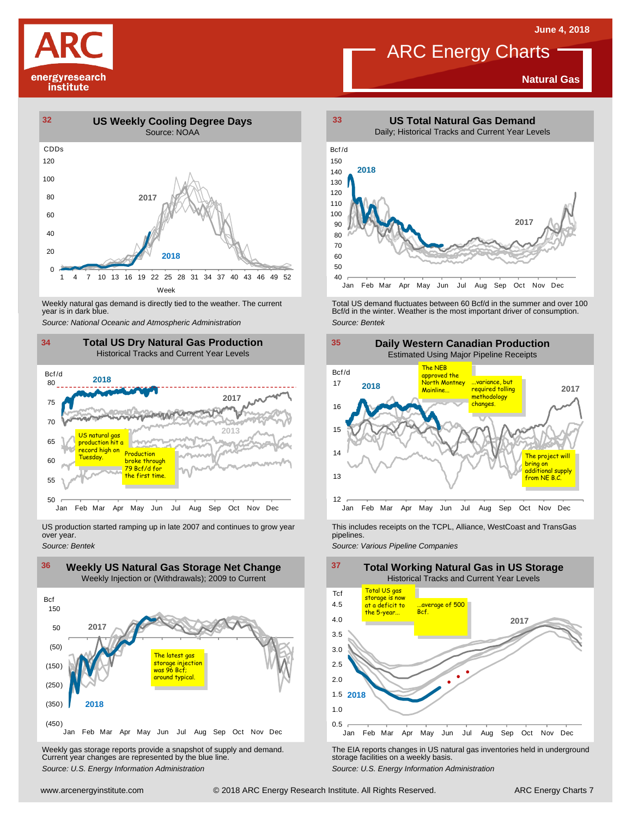

#### **Natural Gas**



Weekly natural gas demand is directly tied to the weather. The current year is in dark blue.



US production started ramping up in late 2007 and continues to grow year over year. *Source: Bentek*



Weekly gas storage reports provide a snapshot of supply and demand. The EIA reports changes in US natural gas inventories held in underground<br>Current year changes are represented by the blue line. "Source: U.S. Energy Info



Weekly natural gas demand is directly tied to the weather. The current Fortal US demand fluctuates between 60 Bcf/d in the summer and over 100<br>100 Bcf/d in the winter. Weather is the most important driver of consumption.<br>1 *Source: Bentek*



This includes receipts on the TCPL, Alliance, WestCoast and TransGas pipelines.

*Source: Various Pipeline Companies*

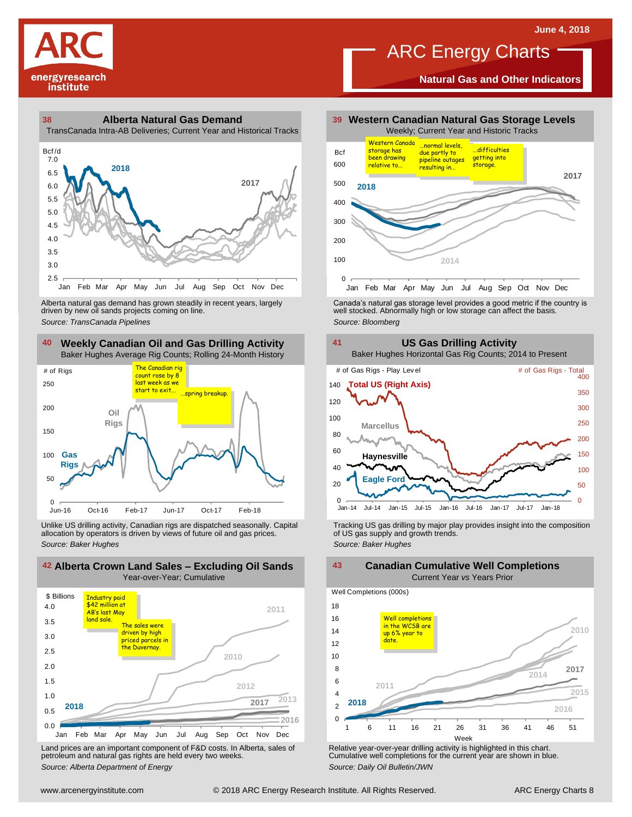

**Natural Gas and Other Indicators**



TransCanada Intra-AB Deliveries; Current Year and Historical Tracks



driven by new oil sands projects coming on line.



Unlike US drilling activity, Canadian rigs are dispatched seasonally. Capital allocation by operators is driven by views of future oil and gas prices. *Source: Baker Hughes* Tracking US gas drilling by major play provides insight into the composition of US gas supply and growth trends. *Source: Baker Hughes*



Land prices are an important component of F&D costs. In Alberta, sales of petroleum and natural gas rights are held every two weeks. *Source: Alberta Department of Energy*



Alberta natural gas demand has grown steadily in recent years, largely and the Canada's natural gas storage level provides a good metric if the country is christen by new oil sands projects coming on line.<br>Ariven by new oi



**2010 2011 2014**  $\Omega$  $\overline{2}$ 4 6 8 10 12 14 16 18 1 6 11 16 21 26 31 36 41 46 51 Week Well Completions (000s) **2016 2015 2018 2017** Well completions in the WCSB are up 6% year to date.

Relative year-over-year drilling activity is highlighted in this chart. Cumulative well completions for the current year are shown in blue. *Source: Daily Oil Bulletin/JWN*

#### **Canadian Cumulative Well Completions** Current Year *vs* Years Prior